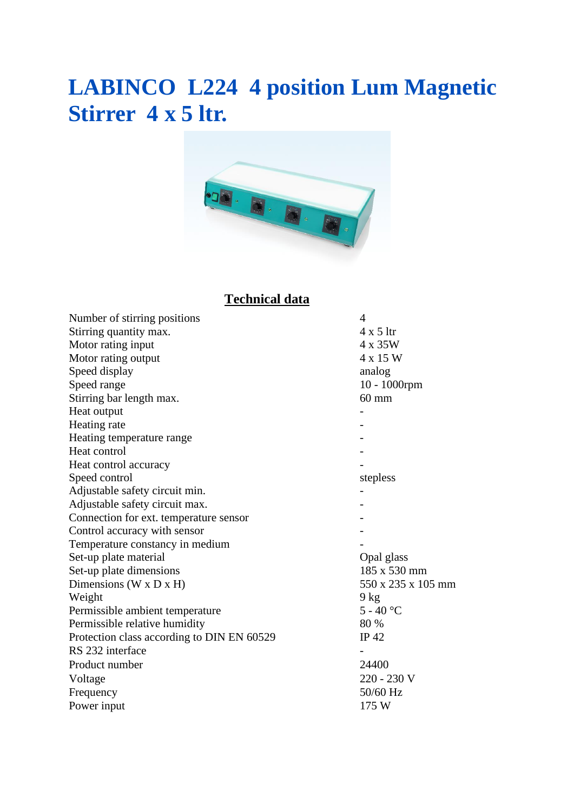# **LABINCO L224 4 position Lum Magnetic Stirrer 4 x 5 ltr.**



### **Technical data**

| Number of stirring positions               | $\overline{4}$     |
|--------------------------------------------|--------------------|
| Stirring quantity max.                     | $4 \times 5$ ltr   |
| Motor rating input                         | 4 x 35W            |
| Motor rating output                        | 4 x 15 W           |
| Speed display                              | analog             |
| Speed range                                | 10 - 1000rpm       |
| Stirring bar length max.                   | $60 \text{ mm}$    |
| Heat output                                |                    |
| Heating rate                               |                    |
| Heating temperature range                  |                    |
| Heat control                               |                    |
| Heat control accuracy                      |                    |
| Speed control                              | stepless           |
| Adjustable safety circuit min.             |                    |
| Adjustable safety circuit max.             |                    |
| Connection for ext. temperature sensor     |                    |
| Control accuracy with sensor               |                    |
| Temperature constancy in medium            |                    |
| Set-up plate material                      | Opal glass         |
| Set-up plate dimensions                    | 185 x 530 mm       |
| Dimensions ( $W \times D \times H$ )       | 550 x 235 x 105 mm |
| Weight                                     | 9 kg               |
| Permissible ambient temperature            | $5 - 40$ °C        |
| Permissible relative humidity              | 80 %               |
| Protection class according to DIN EN 60529 | IP $42$            |
| RS 232 interface                           |                    |
| Product number                             | 24400              |
| Voltage                                    | 220 - 230 V        |
| Frequency                                  | 50/60 Hz           |
| Power input                                | 175 W              |
|                                            |                    |